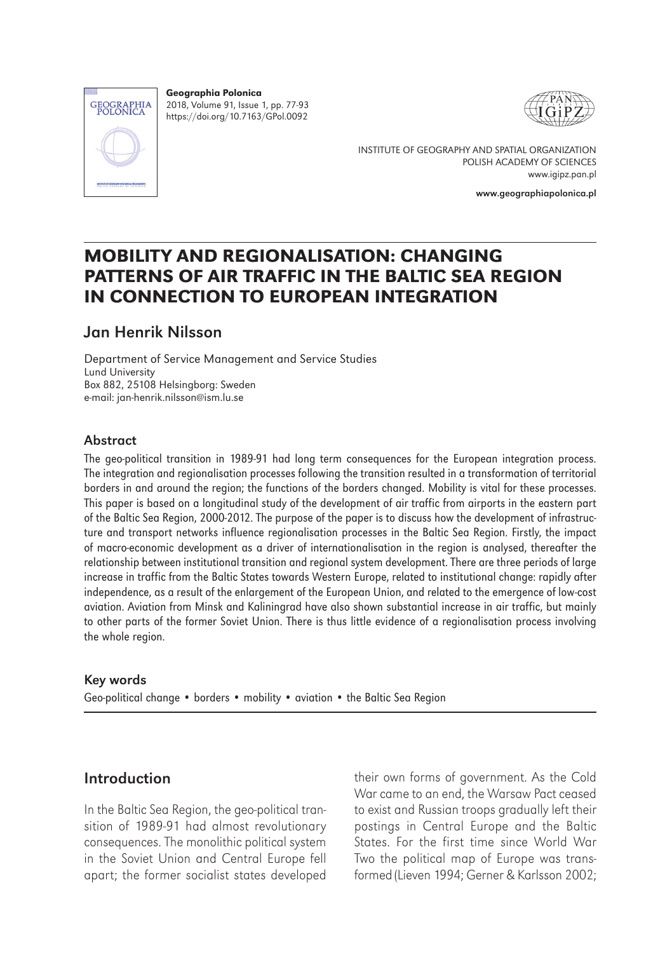

Geographia Polonica 2018, Volume 91, Issue 1, pp. 77-93 https://doi.org/10.7163/GPol.0092





INSTITUTE OF GEOGRAPHY AND SPATIAL ORGANIZATION POLISH ACADEMY OF SCIENCES www.igipz.pan.pl

www.geographiapolonica.pl

# MOBILITY AND REGIONALISATION: CHANGING PATTERNS OF AIR TRAFFIC IN THE BALTIC SEA REGION IN CONNECTION TO EUROPEAN INTEGRATION

# Jan Henrik Nilsson

Department of Service Management and Service Studies Lund University Box 882, 25108 Helsingborg: Sweden e-mail: jan-henrik.nilsson@ism.lu.se

## Abstract

The geo-political transition in 1989-91 had long term consequences for the European integration process. The integration and regionalisation processes following the transition resulted in a transformation of territorial borders in and around the region; the functions of the borders changed. Mobility is vital for these processes. This paper is based on a longitudinal study of the development of air traffic from airports in the eastern part of the Baltic Sea Region, 2000-2012. The purpose of the paper is to discuss how the development of infrastructure and transport networks influence regionalisation processes in the Baltic Sea Region. Firstly, the impact of macro-economic development as a driver of internationalisation in the region is analysed, thereafter the relationship between institutional transition and regional system development. There are three periods of large increase in traffic from the Baltic States towards Western Europe, related to institutional change: rapidly after independence, as a result of the enlargement of the European Union, and related to the emergence of low-cost aviation. Aviation from Minsk and Kaliningrad have also shown substantial increase in air traffic, but mainly to other parts of the former Soviet Union. There is thus little evidence of a regionalisation process involving the whole region.

## Key words

Geo-political change • borders • mobility • aviation • the Baltic Sea Region

# Introduction

In the Baltic Sea Region, the geo-political transition of 1989-91 had almost revolutionary consequences. The monolithic political system in the Soviet Union and Central Europe fell apart; the former socialist states developed

their own forms of government. As the Cold War came to an end, the Warsaw Pact ceased to exist and Russian troops gradually left their postings in Central Europe and the Baltic States. For the first time since World War Two the political map of Europe was transformed (Lieven 1994; Gerner & Karlsson 2002;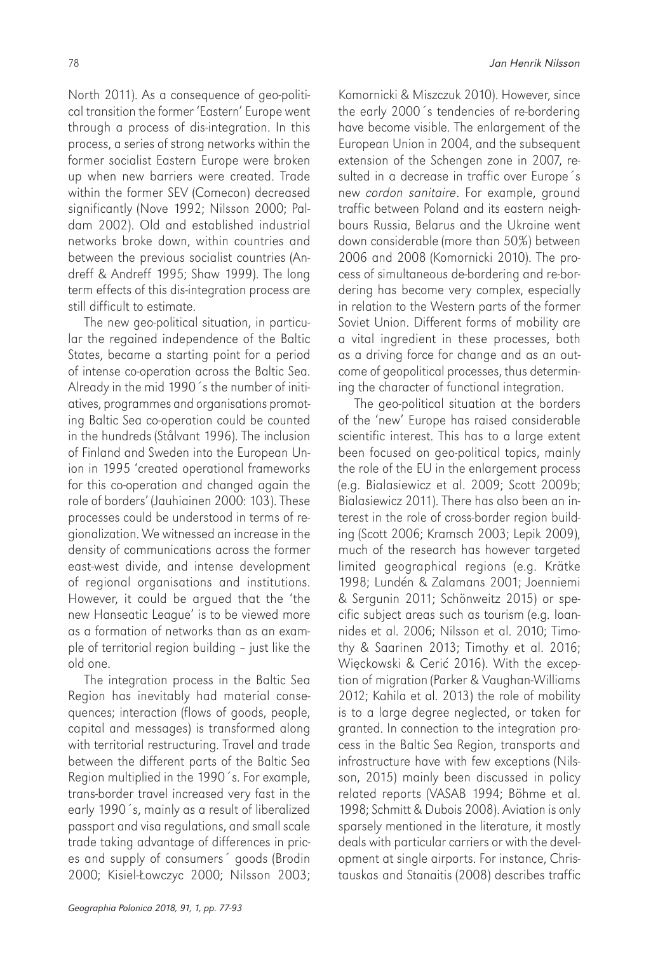North 2011). As a consequence of geo-political transition the former 'Eastern' Europe went through a process of dis-integration. In this process, a series of strong networks within the former socialist Eastern Europe were broken up when new barriers were created. Trade within the former SEV (Comecon) decreased significantly (Nove 1992; Nilsson 2000; Paldam 2002). Old and established industrial networks broke down, within countries and between the previous socialist countries (Andreff & Andreff 1995; Shaw 1999). The long term effects of this dis-integration process are still difficult to estimate.

The new geo-political situation, in particular the regained independence of the Baltic States, became a starting point for a period of intense co-operation across the Baltic Sea. Already in the mid 1990´s the number of initiatives, programmes and organisations promoting Baltic Sea co-operation could be counted in the hundreds (Stålvant 1996). The inclusion of Finland and Sweden into the European Union in 1995 'created operational frameworks for this co-operation and changed again the role of borders' (Jauhiainen 2000: 103). These processes could be understood in terms of regionalization. We witnessed an increase in the density of communications across the former east-west divide, and intense development of regional organisations and institutions. However, it could be argued that the 'the new Hanseatic League' is to be viewed more as a formation of networks than as an example of territorial region building – just like the old one.

The integration process in the Baltic Sea Region has inevitably had material consequences; interaction (flows of goods, people, capital and messages) is transformed along with territorial restructuring. Travel and trade between the different parts of the Baltic Sea Region multiplied in the 1990´s. For example, trans-border travel increased very fast in the early 1990´s, mainly as a result of liberalized passport and visa regulations, and small scale trade taking advantage of differences in prices and supply of consumers´ goods (Brodin 2000; Kisiel-Łowczyc 2000; Nilsson 2003;

Komornicki & Miszczuk 2010). However, since the early 2000´s tendencies of re-bordering have become visible. The enlargement of the European Union in 2004, and the subsequent extension of the Schengen zone in 2007, resulted in a decrease in traffic over Europe´s new *cordon sanitaire*. For example, ground traffic between Poland and its eastern neighbours Russia, Belarus and the Ukraine went down considerable (more than 50%) between 2006 and 2008 (Komornicki 2010). The process of simultaneous de-bordering and re-bordering has become very complex, especially in relation to the Western parts of the former Soviet Union. Different forms of mobility are a vital ingredient in these processes, both as a driving force for change and as an outcome of geopolitical processes, thus determining the character of functional integration.

The geo-political situation at the borders of the 'new' Europe has raised considerable scientific interest. This has to a large extent been focused on geo-political topics, mainly the role of the EU in the enlargement process (e.g. Bialasiewicz et al. 2009; Scott 2009b; Bialasiewicz 2011). There has also been an interest in the role of cross-border region building (Scott 2006; Kramsch 2003; Lepik 2009), much of the research has however targeted limited geographical regions (e.g. Krätke 1998; Lundén & Zalamans 2001; Joenniemi & Sergunin 2011; Schönweitz 2015) or specific subject areas such as tourism (e.g. Ioannides et al. 2006; Nilsson et al. 2010; Timothy & Saarinen 2013; Timothy et al. 2016; Więckowski & Cerić 2016). With the exception of migration (Parker & Vaughan-Williams 2012; Kahila et al. 2013) the role of mobility is to a large degree neglected, or taken for granted. In connection to the integration process in the Baltic Sea Region, transports and infrastructure have with few exceptions (Nilsson, 2015) mainly been discussed in policy related reports (VASAB 1994; Böhme et al. 1998; Schmitt & Dubois 2008). Aviation is only sparsely mentioned in the literature, it mostly deals with particular carriers or with the development at single airports. For instance, Christauskas and Stanaitis (2008) describes traffic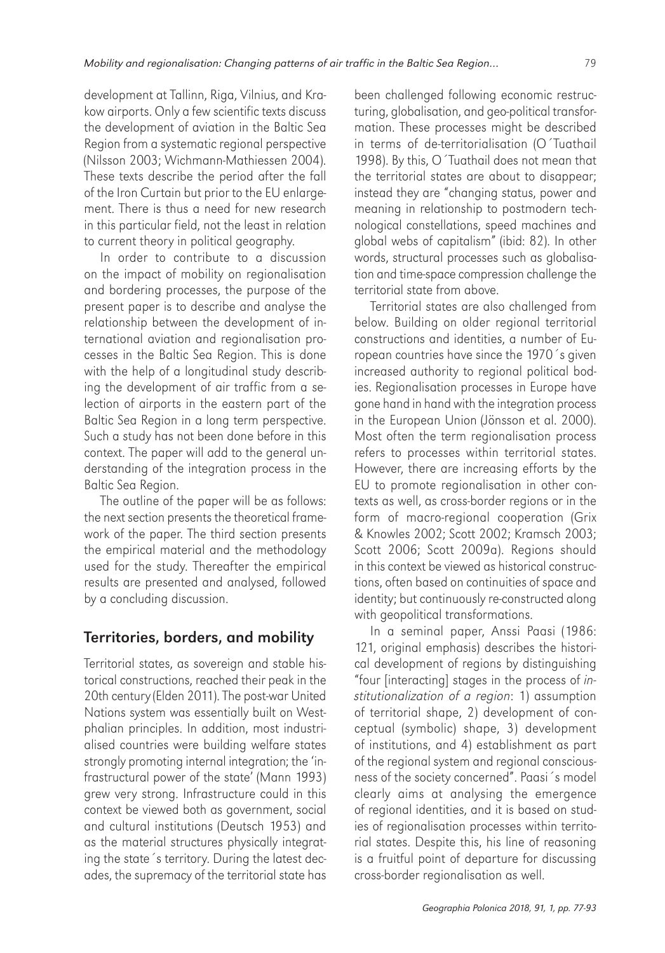development at Tallinn, Riga, Vilnius, and Krakow airports. Only a few scientific texts discuss the development of aviation in the Baltic Sea Region from a systematic regional perspective (Nilsson 2003; Wichmann-Mathiessen 2004). These texts describe the period after the fall of the Iron Curtain but prior to the EU enlargement. There is thus a need for new research in this particular field, not the least in relation to current theory in political geography.

In order to contribute to a discussion on the impact of mobility on regionalisation and bordering processes, the purpose of the present paper is to describe and analyse the relationship between the development of international aviation and regionalisation processes in the Baltic Sea Region. This is done with the help of a longitudinal study describing the development of air traffic from a selection of airports in the eastern part of the Baltic Sea Region in a long term perspective. Such a study has not been done before in this context. The paper will add to the general understanding of the integration process in the Baltic Sea Region.

The outline of the paper will be as follows: the next section presents the theoretical framework of the paper. The third section presents the empirical material and the methodology used for the study. Thereafter the empirical results are presented and analysed, followed by a concluding discussion.

# Territories, borders, and mobility

Territorial states, as sovereign and stable historical constructions, reached their peak in the 20th century (Elden 2011). The post-war United Nations system was essentially built on Westphalian principles. In addition, most industrialised countries were building welfare states strongly promoting internal integration; the 'infrastructural power of the state' (Mann 1993) grew very strong. Infrastructure could in this context be viewed both as government, social and cultural institutions (Deutsch 1953) and as the material structures physically integrating the state´s territory. During the latest decades, the supremacy of the territorial state has

been challenged following economic restructuring, globalisation, and geo-political transformation. These processes might be described in terms of de-territorialisation (O´Tuathail 1998). By this, O´Tuathail does not mean that the territorial states are about to disappear; instead they are "changing status, power and meaning in relationship to postmodern technological constellations, speed machines and global webs of capitalism" (ibid: 82). In other words, structural processes such as globalisation and time-space compression challenge the territorial state from above.

Territorial states are also challenged from below. Building on older regional territorial constructions and identities, a number of European countries have since the 1970´s given increased authority to regional political bodies. Regionalisation processes in Europe have gone hand in hand with the integration process in the European Union (Jönsson et al. 2000). Most often the term regionalisation process refers to processes within territorial states. However, there are increasing efforts by the EU to promote regionalisation in other contexts as well, as cross-border regions or in the form of macro-regional cooperation (Grix & Knowles 2002; Scott 2002; Kramsch 2003; Scott 2006; Scott 2009a). Regions should in this context be viewed as historical constructions, often based on continuities of space and identity; but continuously re-constructed along with geopolitical transformations.

In a seminal paper, Anssi Paasi (1986: 121, original emphasis) describes the historical development of regions by distinguishing "four [interacting] stages in the process of *institutionalization of a region*: 1) assumption of territorial shape, 2) development of conceptual (symbolic) shape, 3) development of institutions, and 4) establishment as part of the regional system and regional consciousness of the society concerned". Paasi´s model clearly aims at analysing the emergence of regional identities, and it is based on studies of regionalisation processes within territorial states. Despite this, his line of reasoning is a fruitful point of departure for discussing cross-border regionalisation as well.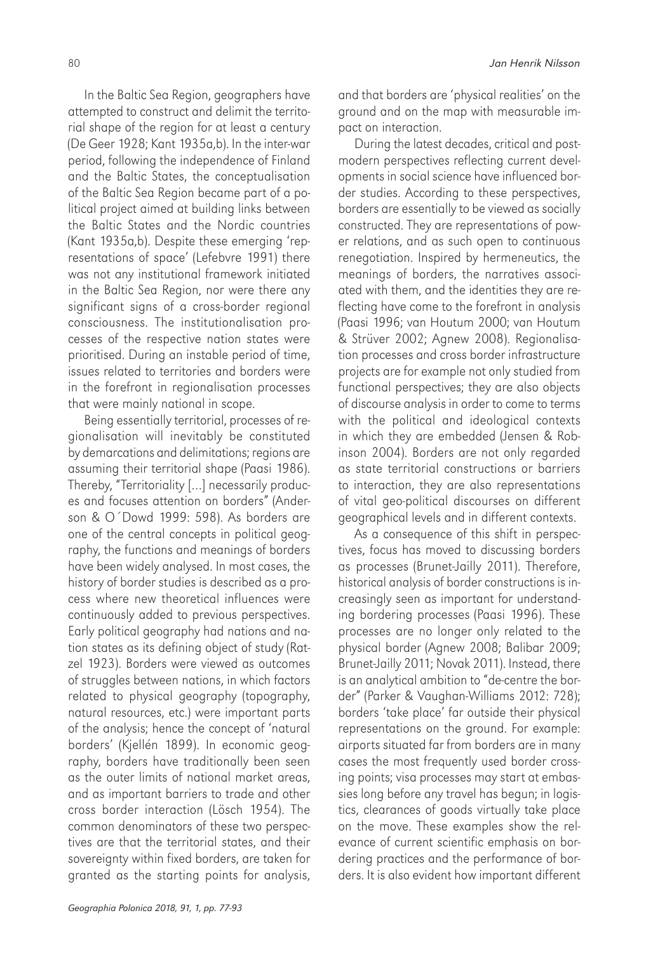In the Baltic Sea Region, geographers have attempted to construct and delimit the territorial shape of the region for at least a century (De Geer 1928; Kant 1935a,b). In the inter-war period, following the independence of Finland and the Baltic States, the conceptualisation of the Baltic Sea Region became part of a political project aimed at building links between the Baltic States and the Nordic countries (Kant 1935a,b). Despite these emerging 'representations of space' (Lefebvre 1991) there was not any institutional framework initiated in the Baltic Sea Region, nor were there any significant signs of a cross-border regional consciousness. The institutionalisation processes of the respective nation states were prioritised. During an instable period of time, issues related to territories and borders were in the forefront in regionalisation processes that were mainly national in scope.

Being essentially territorial, processes of regionalisation will inevitably be constituted by demarcations and delimitations; regions are assuming their territorial shape (Paasi 1986). Thereby, "Territoriality […] necessarily produces and focuses attention on borders" (Anderson & O´Dowd 1999: 598). As borders are one of the central concepts in political geography, the functions and meanings of borders have been widely analysed. In most cases, the history of border studies is described as a process where new theoretical influences were continuously added to previous perspectives. Early political geography had nations and nation states as its defining object of study (Ratzel 1923). Borders were viewed as outcomes of struggles between nations, in which factors related to physical geography (topography, natural resources, etc.) were important parts of the analysis; hence the concept of 'natural borders' (Kjellén 1899). In economic geography, borders have traditionally been seen as the outer limits of national market areas, and as important barriers to trade and other cross border interaction (Lösch 1954). The common denominators of these two perspectives are that the territorial states, and their sovereignty within fixed borders, are taken for granted as the starting points for analysis, and that borders are 'physical realities' on the ground and on the map with measurable impact on interaction.

During the latest decades, critical and postmodern perspectives reflecting current developments in social science have influenced border studies. According to these perspectives, borders are essentially to be viewed as socially constructed. They are representations of power relations, and as such open to continuous renegotiation. Inspired by hermeneutics, the meanings of borders, the narratives associated with them, and the identities they are reflecting have come to the forefront in analysis (Paasi 1996; van Houtum 2000; van Houtum & Strüver 2002; Agnew 2008). Regionalisation processes and cross border infrastructure projects are for example not only studied from functional perspectives; they are also objects of discourse analysis in order to come to terms with the political and ideological contexts in which they are embedded (Jensen & Robinson 2004). Borders are not only regarded as state territorial constructions or barriers to interaction, they are also representations of vital geo-political discourses on different geographical levels and in different contexts.

As a consequence of this shift in perspectives, focus has moved to discussing borders as processes (Brunet-Jailly 2011). Therefore, historical analysis of border constructions is increasingly seen as important for understanding bordering processes (Paasi 1996). These processes are no longer only related to the physical border (Agnew 2008; Balibar 2009; Brunet-Jailly 2011; Novak 2011). Instead, there is an analytical ambition to "de-centre the border" (Parker & Vaughan-Williams 2012: 728); borders 'take place' far outside their physical representations on the ground. For example: airports situated far from borders are in many cases the most frequently used border crossing points; visa processes may start at embassies long before any travel has begun; in logistics, clearances of goods virtually take place on the move. These examples show the relevance of current scientific emphasis on bordering practices and the performance of borders. It is also evident how important different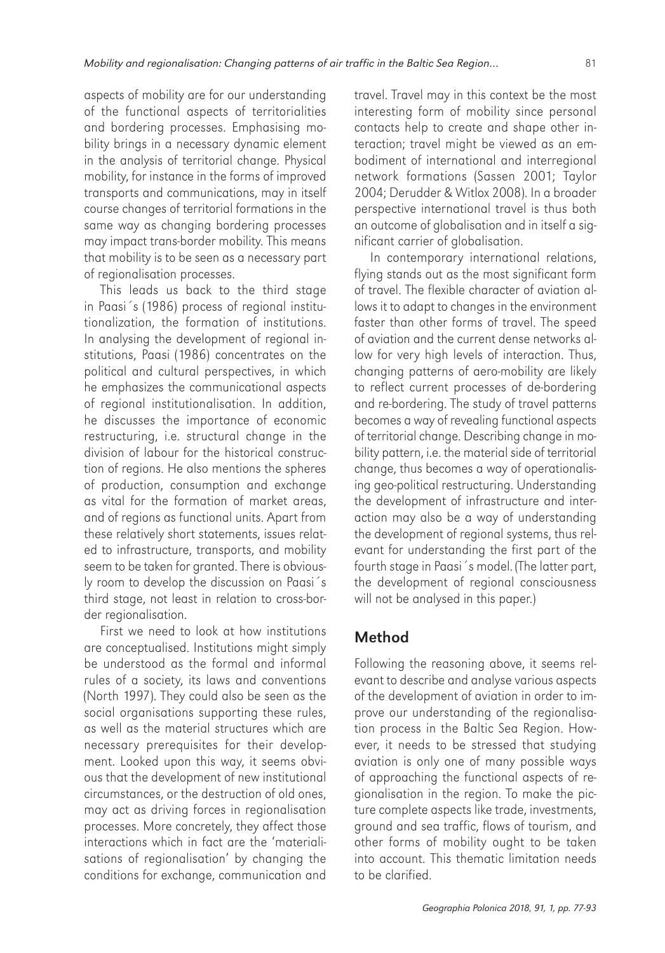aspects of mobility are for our understanding of the functional aspects of territorialities and bordering processes. Emphasising mobility brings in a necessary dynamic element in the analysis of territorial change. Physical mobility, for instance in the forms of improved transports and communications, may in itself course changes of territorial formations in the same way as changing bordering processes may impact trans-border mobility. This means that mobility is to be seen as a necessary part of regionalisation processes.

This leads us back to the third stage in Paasi´s (1986) process of regional institutionalization, the formation of institutions. In analysing the development of regional institutions, Paasi (1986) concentrates on the political and cultural perspectives, in which he emphasizes the communicational aspects of regional institutionalisation. In addition, he discusses the importance of economic restructuring, i.e. structural change in the division of labour for the historical construction of regions. He also mentions the spheres of production, consumption and exchange as vital for the formation of market areas, and of regions as functional units. Apart from these relatively short statements, issues related to infrastructure, transports, and mobility seem to be taken for granted. There is obviously room to develop the discussion on Paasi´s third stage, not least in relation to cross-border regionalisation.

First we need to look at how institutions are conceptualised. Institutions might simply be understood as the formal and informal rules of a society, its laws and conventions (North 1997). They could also be seen as the social organisations supporting these rules, as well as the material structures which are necessary prerequisites for their development. Looked upon this way, it seems obvious that the development of new institutional circumstances, or the destruction of old ones, may act as driving forces in regionalisation processes. More concretely, they affect those interactions which in fact are the 'materialisations of regionalisation' by changing the conditions for exchange, communication and travel. Travel may in this context be the most interesting form of mobility since personal contacts help to create and shape other interaction; travel might be viewed as an embodiment of international and interregional network formations (Sassen 2001; Taylor 2004; Derudder & Witlox 2008). In a broader perspective international travel is thus both an outcome of globalisation and in itself a significant carrier of globalisation.

In contemporary international relations, flying stands out as the most significant form of travel. The flexible character of aviation allows it to adapt to changes in the environment faster than other forms of travel. The speed of aviation and the current dense networks allow for very high levels of interaction. Thus, changing patterns of aero-mobility are likely to reflect current processes of de-bordering and re-bordering. The study of travel patterns becomes a way of revealing functional aspects of territorial change. Describing change in mobility pattern, i.e. the material side of territorial change, thus becomes a way of operationalising geo-political restructuring. Understanding the development of infrastructure and interaction may also be a way of understanding the development of regional systems, thus relevant for understanding the first part of the fourth stage in Paasi´s model. (The latter part, the development of regional consciousness will not be analysed in this paper.)

## Method

Following the reasoning above, it seems relevant to describe and analyse various aspects of the development of aviation in order to improve our understanding of the regionalisation process in the Baltic Sea Region. However, it needs to be stressed that studying aviation is only one of many possible ways of approaching the functional aspects of regionalisation in the region. To make the picture complete aspects like trade, investments, ground and sea traffic, flows of tourism, and other forms of mobility ought to be taken into account. This thematic limitation needs to be clarified.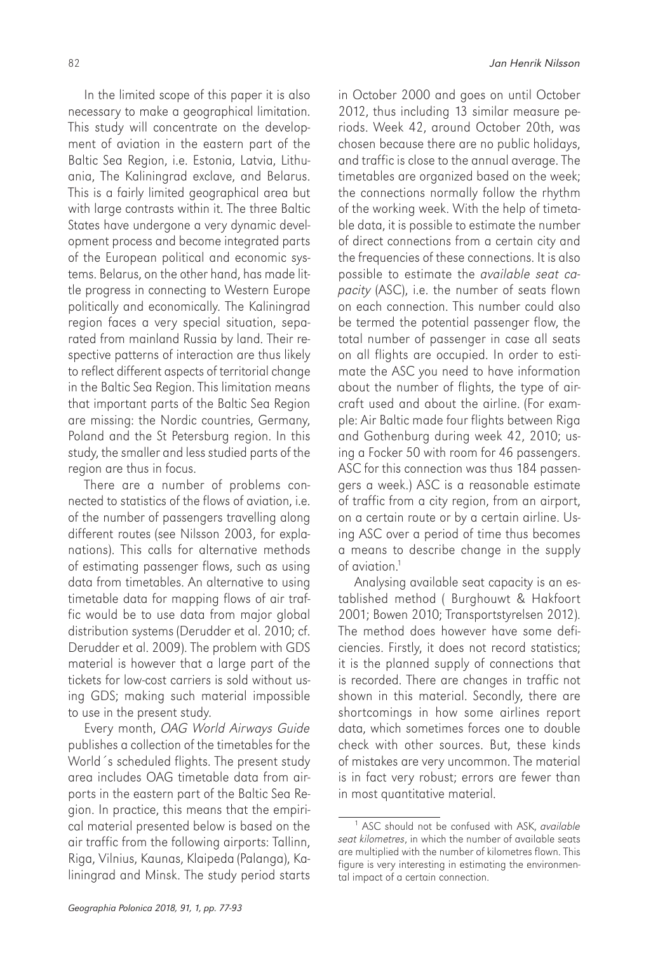In the limited scope of this paper it is also necessary to make a geographical limitation. This study will concentrate on the development of aviation in the eastern part of the Baltic Sea Region, i.e. Estonia, Latvia, Lithuania, The Kaliningrad exclave, and Belarus. This is a fairly limited geographical area but with large contrasts within it. The three Baltic States have undergone a very dynamic development process and become integrated parts of the European political and economic systems. Belarus, on the other hand, has made little progress in connecting to Western Europe politically and economically. The Kaliningrad region faces a very special situation, separated from mainland Russia by land. Their respective patterns of interaction are thus likely to reflect different aspects of territorial change in the Baltic Sea Region. This limitation means that important parts of the Baltic Sea Region are missing: the Nordic countries, Germany, Poland and the St Petersburg region. In this study, the smaller and less studied parts of the region are thus in focus.

There are a number of problems connected to statistics of the flows of aviation, i.e. of the number of passengers travelling along different routes (see Nilsson 2003, for explanations). This calls for alternative methods of estimating passenger flows, such as using data from timetables. An alternative to using timetable data for mapping flows of air traffic would be to use data from major global distribution systems (Derudder et al. 2010; cf. Derudder et al. 2009). The problem with GDS material is however that a large part of the tickets for low-cost carriers is sold without using GDS; making such material impossible to use in the present study.

Every month, *OAG World Airways Guide*  publishes a collection of the timetables for the World´s scheduled flights. The present study area includes OAG timetable data from airports in the eastern part of the Baltic Sea Region. In practice, this means that the empirical material presented below is based on the air traffic from the following airports: Tallinn, Riga, Vilnius, Kaunas, Klaipeda (Palanga), Kaliningrad and Minsk. The study period starts

in October 2000 and goes on until October 2012, thus including 13 similar measure periods. Week 42, around October 20th, was chosen because there are no public holidays, and traffic is close to the annual average. The timetables are organized based on the week; the connections normally follow the rhythm of the working week. With the help of timetable data, it is possible to estimate the number of direct connections from a certain city and the frequencies of these connections. It is also possible to estimate the *available seat capacity* (ASC), i.e. the number of seats flown on each connection. This number could also be termed the potential passenger flow, the total number of passenger in case all seats on all flights are occupied. In order to estimate the ASC you need to have information about the number of flights, the type of aircraft used and about the airline. (For example: Air Baltic made four flights between Riga and Gothenburg during week 42, 2010; using a Focker 50 with room for 46 passengers. ASC for this connection was thus 184 passengers a week.) ASC is a reasonable estimate of traffic from a city region, from an airport, on a certain route or by a certain airline. Using ASC over a period of time thus becomes a means to describe change in the supply of aviation.1

Analysing available seat capacity is an established method ( Burghouwt & Hakfoort 2001; Bowen 2010; Transportstyrelsen 2012). The method does however have some deficiencies. Firstly, it does not record statistics; it is the planned supply of connections that is recorded. There are changes in traffic not shown in this material. Secondly, there are shortcomings in how some airlines report data, which sometimes forces one to double check with other sources. But, these kinds of mistakes are very uncommon. The material is in fact very robust; errors are fewer than in most quantitative material.

<sup>1</sup> ASC should not be confused with ASK, *available seat kilometres*, in which the number of available seats are multiplied with the number of kilometres flown. This figure is very interesting in estimating the environmental impact of a certain connection.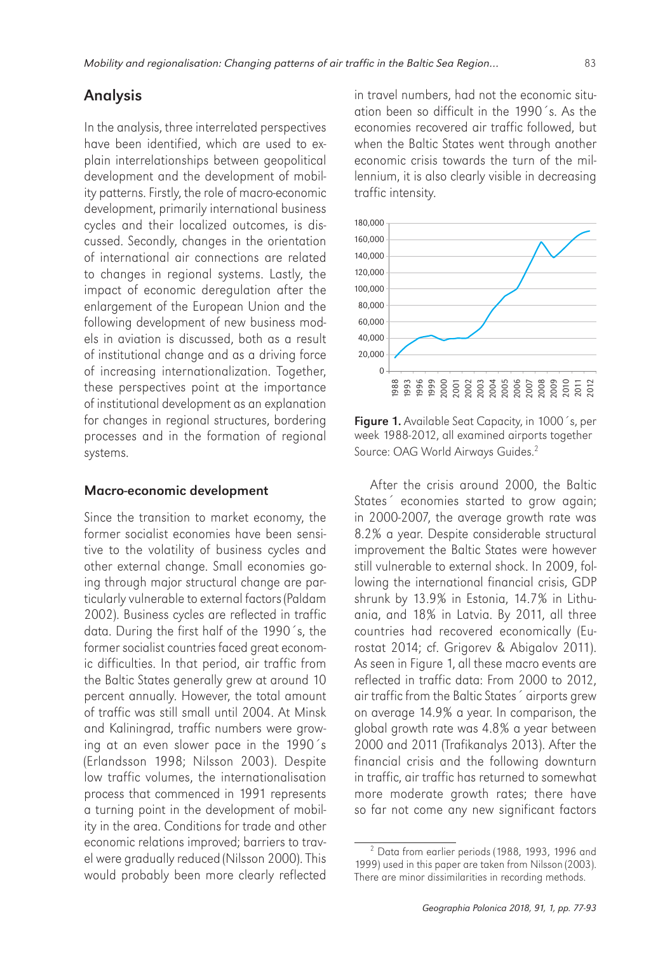# Analysis

In the analysis, three interrelated perspectives have been identified, which are used to explain interrelationships between geopolitical development and the development of mobility patterns. Firstly, the role of macro-economic development, primarily international business cycles and their localized outcomes, is discussed. Secondly, changes in the orientation of international air connections are related to changes in regional systems. Lastly, the impact of economic deregulation after the enlargement of the European Union and the following development of new business models in aviation is discussed, both as a result of institutional change and as a driving force of increasing internationalization. Together, these perspectives point at the importance of institutional development as an explanation for changes in regional structures, bordering processes and in the formation of regional systems.

#### Macro-economic development

Since the transition to market economy, the former socialist economies have been sensitive to the volatility of business cycles and other external change. Small economies going through major structural change are particularly vulnerable to external factors (Paldam 2002). Business cycles are reflected in traffic data. During the first half of the 1990´s, the former socialist countries faced great economic difficulties. In that period, air traffic from the Baltic States generally grew at around 10 percent annually. However, the total amount of traffic was still small until 2004. At Minsk and Kaliningrad, traffic numbers were growing at an even slower pace in the 1990´s (Erlandsson 1998; Nilsson 2003). Despite low traffic volumes, the internationalisation process that commenced in 1991 represents a turning point in the development of mobility in the area. Conditions for trade and other economic relations improved; barriers to travel were gradually reduced (Nilsson 2000). This would probably been more clearly reflected in travel numbers, had not the economic situation been so difficult in the 1990´s. As the economies recovered air traffic followed, but when the Baltic States went through another economic crisis towards the turn of the millennium, it is also clearly visible in decreasing traffic intensity.



Figure 1. Available Seat Capacity, in 1000<sup>'</sup>s, per week 1988-2012, all examined airports together Source: OAG World Airways Guides.<sup>2</sup>

After the crisis around 2000, the Baltic States<sup>2</sup> economies started to grow again; in 2000-2007, the average growth rate was 8.2% a year. Despite considerable structural improvement the Baltic States were however still vulnerable to external shock. In 2009, following the international financial crisis, GDP shrunk by 13.9% in Estonia, 14.7% in Lithuania, and 18% in Latvia. By 2011, all three countries had recovered economically (Eurostat 2014; cf. Grigorev & Abigalov 2011). As seen in Figure 1, all these macro events are reflected in traffic data: From 2000 to 2012, air traffic from the Baltic States´ airports grew on average 14.9% a year. In comparison, the global growth rate was 4.8% a year between 2000 and 2011 (Trafikanalys 2013). After the financial crisis and the following downturn in traffic, air traffic has returned to somewhat more moderate growth rates; there have so far not come any new significant factors

<sup>&</sup>lt;sup>2</sup> Data from earlier periods (1988, 1993, 1996 and 1999) used in this paper are taken from Nilsson (2003). There are minor dissimilarities in recording methods.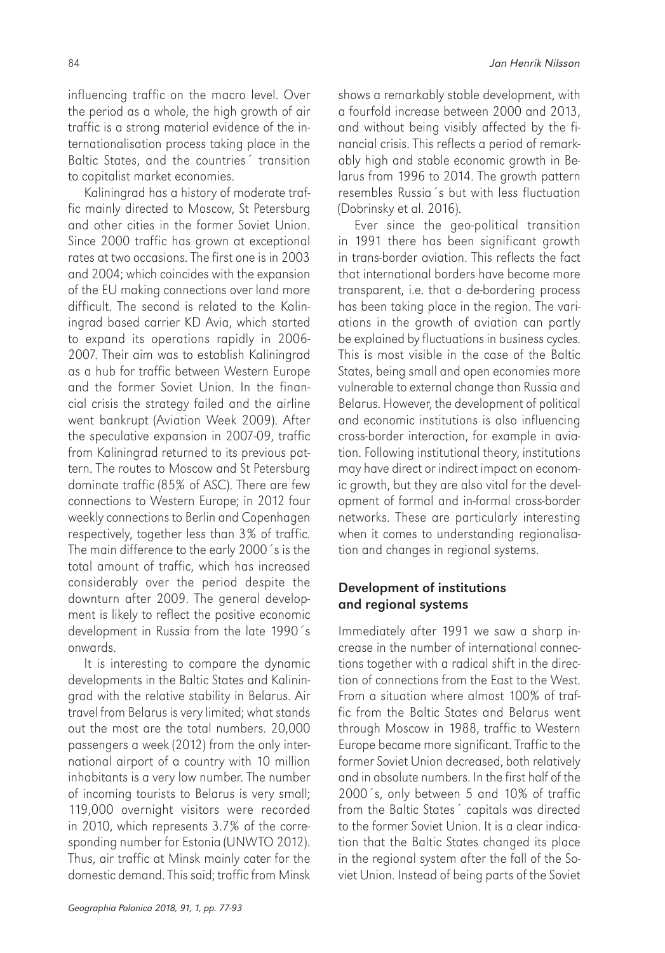influencing traffic on the macro level. Over the period as a whole, the high growth of air traffic is a strong material evidence of the internationalisation process taking place in the Baltic States, and the countries´ transition to capitalist market economies.

Kaliningrad has a history of moderate traffic mainly directed to Moscow, St Petersburg and other cities in the former Soviet Union. Since 2000 traffic has grown at exceptional rates at two occasions. The first one is in 2003 and 2004; which coincides with the expansion of the EU making connections over land more difficult. The second is related to the Kaliningrad based carrier KD Avia, which started to expand its operations rapidly in 2006- 2007. Their aim was to establish Kaliningrad as a hub for traffic between Western Europe and the former Soviet Union. In the financial crisis the strategy failed and the airline went bankrupt (Aviation Week 2009). After the speculative expansion in 2007-09, traffic from Kaliningrad returned to its previous pattern. The routes to Moscow and St Petersburg dominate traffic (85% of ASC). There are few connections to Western Europe; in 2012 four weekly connections to Berlin and Copenhagen respectively, together less than 3% of traffic. The main difference to the early 2000´s is the total amount of traffic, which has increased considerably over the period despite the downturn after 2009. The general development is likely to reflect the positive economic development in Russia from the late 1990´s onwards.

It is interesting to compare the dynamic developments in the Baltic States and Kaliningrad with the relative stability in Belarus. Air travel from Belarus is very limited; what stands out the most are the total numbers. 20,000 passengers a week (2012) from the only international airport of a country with 10 million inhabitants is a very low number. The number of incoming tourists to Belarus is very small; 119,000 overnight visitors were recorded in 2010, which represents 3.7% of the corresponding number for Estonia (UNWTO 2012). Thus, air traffic at Minsk mainly cater for the domestic demand. This said; traffic from Minsk

shows a remarkably stable development, with a fourfold increase between 2000 and 2013, and without being visibly affected by the financial crisis. This reflects a period of remarkably high and stable economic growth in Belarus from 1996 to 2014. The growth pattern resembles Russia´s but with less fluctuation (Dobrinsky et al. 2016).

Ever since the geo-political transition in 1991 there has been significant growth in trans-border aviation. This reflects the fact that international borders have become more transparent, i.e. that a de-bordering process has been taking place in the region. The variations in the growth of aviation can partly be explained by fluctuations in business cycles. This is most visible in the case of the Baltic States, being small and open economies more vulnerable to external change than Russia and Belarus. However, the development of political and economic institutions is also influencing cross-border interaction, for example in aviation. Following institutional theory, institutions may have direct or indirect impact on economic growth, but they are also vital for the development of formal and in-formal cross-border networks. These are particularly interesting when it comes to understanding regionalisation and changes in regional systems.

### Development of institutions and regional systems

Immediately after 1991 we saw a sharp increase in the number of international connections together with a radical shift in the direction of connections from the East to the West. From a situation where almost 100% of traffic from the Baltic States and Belarus went through Moscow in 1988, traffic to Western Europe became more significant. Traffic to the former Soviet Union decreased, both relatively and in absolute numbers. In the first half of the 2000´s, only between 5 and 10% of traffic from the Baltic States´ capitals was directed to the former Soviet Union. It is a clear indication that the Baltic States changed its place in the regional system after the fall of the Soviet Union. Instead of being parts of the Soviet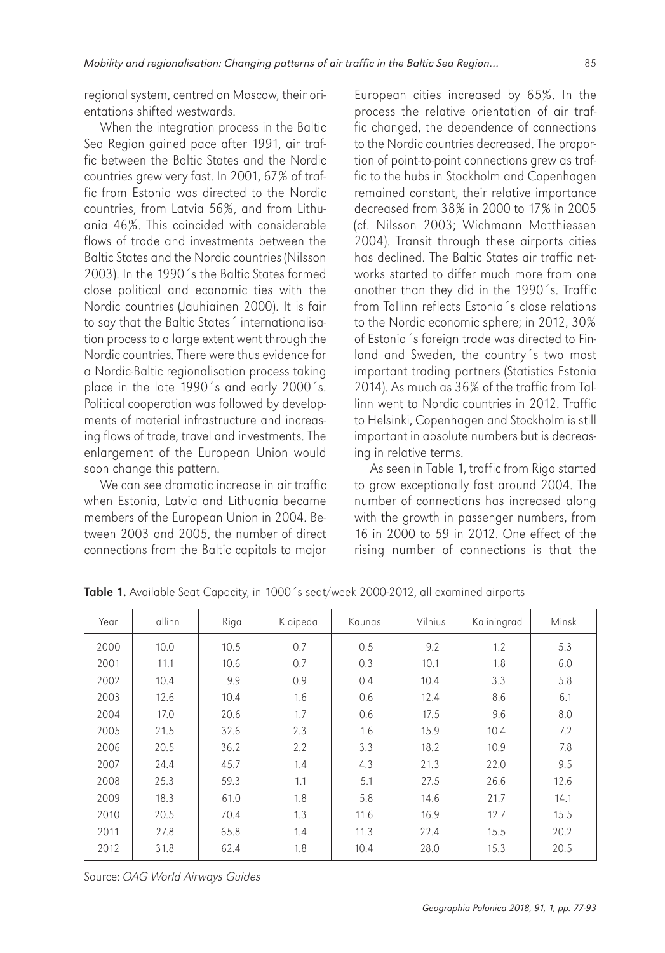regional system, centred on Moscow, their orientations shifted westwards.

When the integration process in the Baltic Sea Region gained pace after 1991, air traffic between the Baltic States and the Nordic countries grew very fast. In 2001, 67% of traffic from Estonia was directed to the Nordic countries, from Latvia 56%, and from Lithuania 46%. This coincided with considerable flows of trade and investments between the Baltic States and the Nordic countries (Nilsson 2003). In the 1990´s the Baltic States formed close political and economic ties with the Nordic countries (Jauhiainen 2000). It is fair to say that the Baltic States´ internationalisation process to a large extent went through the Nordic countries. There were thus evidence for a Nordic-Baltic regionalisation process taking place in the late 1990´s and early 2000´s. Political cooperation was followed by developments of material infrastructure and increasing flows of trade, travel and investments. The enlargement of the European Union would soon change this pattern.

We can see dramatic increase in air traffic when Estonia, Latvia and Lithuania became members of the European Union in 2004. Between 2003 and 2005, the number of direct connections from the Baltic capitals to major

European cities increased by 65%. In the process the relative orientation of air traffic changed, the dependence of connections to the Nordic countries decreased. The proportion of point-to-point connections grew as traffic to the hubs in Stockholm and Copenhagen remained constant, their relative importance decreased from 38% in 2000 to 17% in 2005 (cf. Nilsson 2003; Wichmann Matthiessen 2004). Transit through these airports cities has declined. The Baltic States air traffic networks started to differ much more from one another than they did in the 1990´s. Traffic from Tallinn reflects Estonia´s close relations to the Nordic economic sphere; in 2012, 30% of Estonia´s foreign trade was directed to Finland and Sweden, the country´s two most important trading partners (Statistics Estonia 2014). As much as 36% of the traffic from Tallinn went to Nordic countries in 2012. Traffic to Helsinki, Copenhagen and Stockholm is still important in absolute numbers but is decreasing in relative terms.

As seen in Table 1, traffic from Riga started to grow exceptionally fast around 2004. The number of connections has increased along with the growth in passenger numbers, from 16 in 2000 to 59 in 2012. One effect of the rising number of connections is that the

| Year | Tallinn | Riga | Klaipeda | Kaunas | Vilnius | Kaliningrad | Minsk |
|------|---------|------|----------|--------|---------|-------------|-------|
| 2000 | 10.0    | 10.5 | 0.7      | 0.5    | 9.2     | 1.2         | 5.3   |
| 2001 | 11.1    | 10.6 | 0.7      | 0.3    | 10.1    | 1.8         | 6.0   |
| 2002 | 10.4    | 9.9  | 0.9      | 0.4    | 10.4    | 3.3         | 5.8   |
| 2003 | 12.6    | 10.4 | 1.6      | 0.6    | 12.4    | 8.6         | 6.1   |
| 2004 | 17.0    | 20.6 | 1.7      | 0.6    | 17.5    | 9.6         | 8.0   |
| 2005 | 21.5    | 32.6 | 2.3      | 1.6    | 15.9    | 10.4        | 7.2   |
| 2006 | 20.5    | 36.2 | 2.2      | 3.3    | 18.2    | 10.9        | 7.8   |
| 2007 | 24.4    | 45.7 | 1.4      | 4.3    | 21.3    | 22.0        | 9.5   |
| 2008 | 25.3    | 59.3 | 1.1      | 5.1    | 27.5    | 26.6        | 12.6  |
| 2009 | 18.3    | 61.0 | 1.8      | 5.8    | 14.6    | 21.7        | 14.1  |
| 2010 | 20.5    | 70.4 | 1.3      | 11.6   | 16.9    | 12.7        | 15.5  |
| 2011 | 27.8    | 65.8 | 1.4      | 11.3   | 22.4    | 15.5        | 20.2  |
| 2012 | 31.8    | 62.4 | 1.8      | 10.4   | 28.0    | 15.3        | 20.5  |

Table 1. Available Seat Capacity, in 1000 's seat/week 2000-2012, all examined airports

Source: *OAG World Airways Guides*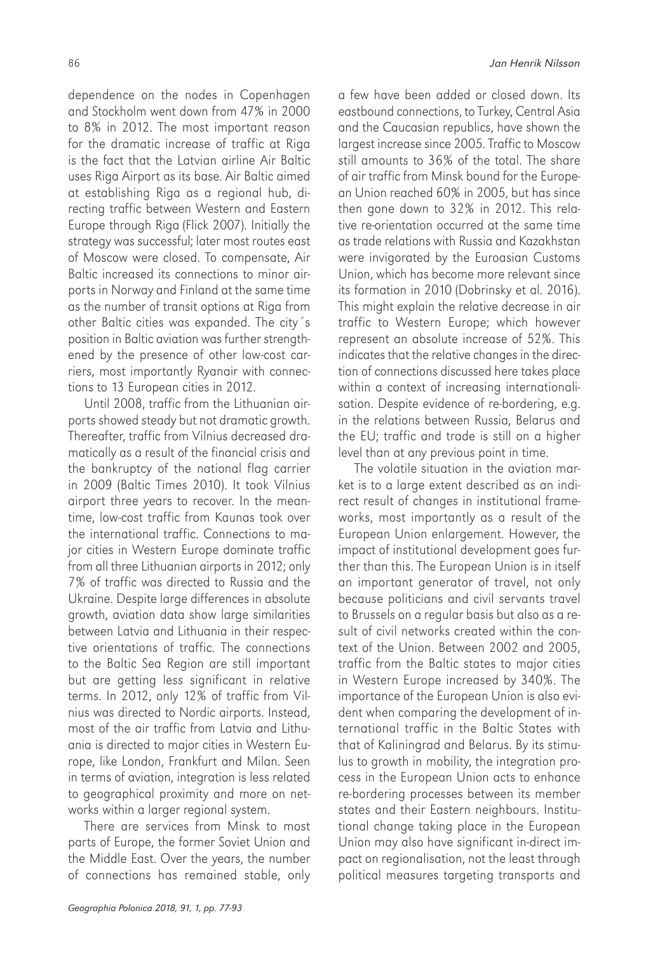dependence on the nodes in Copenhagen and Stockholm went down from 47% in 2000 to 8% in 2012. The most important reason for the dramatic increase of traffic at Riga is the fact that the Latvian airline Air Baltic uses Riga Airport as its base. Air Baltic aimed at establishing Riga as a regional hub, directing traffic between Western and Eastern Europe through Riga (Flick 2007). Initially the strategy was successful; later most routes east of Moscow were closed. To compensate, Air Baltic increased its connections to minor airports in Norway and Finland at the same time as the number of transit options at Riga from other Baltic cities was expanded. The city´s position in Baltic aviation was further strengthened by the presence of other low-cost carriers, most importantly Ryanair with connections to 13 European cities in 2012.

Until 2008, traffic from the Lithuanian airports showed steady but not dramatic growth. Thereafter, traffic from Vilnius decreased dramatically as a result of the financial crisis and the bankruptcy of the national flag carrier in 2009 (Baltic Times 2010). It took Vilnius airport three years to recover. In the meantime, low-cost traffic from Kaunas took over the international traffic. Connections to major cities in Western Europe dominate traffic from all three Lithuanian airports in 2012; only 7% of traffic was directed to Russia and the Ukraine. Despite large differences in absolute growth, aviation data show large similarities between Latvia and Lithuania in their respective orientations of traffic. The connections to the Baltic Sea Region are still important but are getting less significant in relative terms. In 2012, only 12% of traffic from Vilnius was directed to Nordic airports. Instead, most of the air traffic from Latvia and Lithuania is directed to major cities in Western Europe, like London, Frankfurt and Milan. Seen in terms of aviation, integration is less related to geographical proximity and more on networks within a larger regional system.

There are services from Minsk to most parts of Europe, the former Soviet Union and the Middle East. Over the years, the number of connections has remained stable, only

a few have been added or closed down. Its eastbound connections, to Turkey, Central Asia and the Caucasian republics, have shown the largest increase since 2005. Traffic to Moscow still amounts to 36% of the total. The share of air traffic from Minsk bound for the European Union reached 60% in 2005, but has since then gone down to 32% in 2012. This relative re-orientation occurred at the same time as trade relations with Russia and Kazakhstan were invigorated by the Euroasian Customs Union, which has become more relevant since its formation in 2010 (Dobrinsky et al. 2016). This might explain the relative decrease in air traffic to Western Europe; which however represent an absolute increase of 52%. This indicates that the relative changes in the direction of connections discussed here takes place within a context of increasing internationalisation. Despite evidence of re-bordering, e.g. in the relations between Russia, Belarus and the EU; traffic and trade is still on a higher level than at any previous point in time.

The volatile situation in the aviation market is to a large extent described as an indirect result of changes in institutional frameworks, most importantly as a result of the European Union enlargement. However, the impact of institutional development goes further than this. The European Union is in itself an important generator of travel, not only because politicians and civil servants travel to Brussels on a regular basis but also as a result of civil networks created within the context of the Union. Between 2002 and 2005, traffic from the Baltic states to major cities in Western Europe increased by 340%. The importance of the European Union is also evident when comparing the development of international traffic in the Baltic States with that of Kaliningrad and Belarus. By its stimulus to growth in mobility, the integration process in the European Union acts to enhance re-bordering processes between its member states and their Eastern neighbours. Institutional change taking place in the European Union may also have significant in-direct impact on regionalisation, not the least through political measures targeting transports and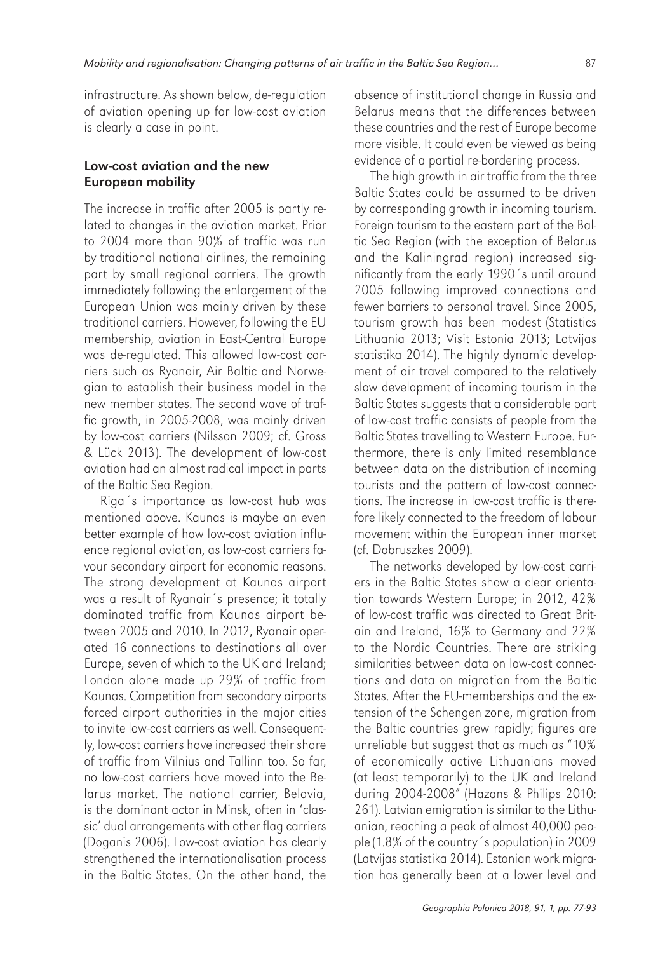infrastructure. As shown below, de-regulation of aviation opening up for low-cost aviation is clearly a case in point.

### Low-cost aviation and the new European mobility

The increase in traffic after 2005 is partly related to changes in the aviation market. Prior to 2004 more than 90% of traffic was run by traditional national airlines, the remaining part by small regional carriers. The growth immediately following the enlargement of the European Union was mainly driven by these traditional carriers. However, following the EU membership, aviation in East-Central Europe was de-regulated. This allowed low-cost carriers such as Ryanair, Air Baltic and Norwegian to establish their business model in the new member states. The second wave of traffic growth, in 2005-2008, was mainly driven by low-cost carriers (Nilsson 2009; cf. Gross & Lück 2013). The development of low-cost aviation had an almost radical impact in parts of the Baltic Sea Region.

Riga´s importance as low-cost hub was mentioned above. Kaunas is maybe an even better example of how low-cost aviation influence regional aviation, as low-cost carriers favour secondary airport for economic reasons. The strong development at Kaunas airport was a result of Ryanair´s presence; it totally dominated traffic from Kaunas airport between 2005 and 2010. In 2012, Ryanair operated 16 connections to destinations all over Europe, seven of which to the UK and Ireland; London alone made up 29% of traffic from Kaunas. Competition from secondary airports forced airport authorities in the major cities to invite low-cost carriers as well. Consequently, low-cost carriers have increased their share of traffic from Vilnius and Tallinn too. So far, no low-cost carriers have moved into the Belarus market. The national carrier, Belavia, is the dominant actor in Minsk, often in 'classic' dual arrangements with other flag carriers (Doganis 2006). Low-cost aviation has clearly strengthened the internationalisation process in the Baltic States. On the other hand, the absence of institutional change in Russia and Belarus means that the differences between these countries and the rest of Europe become more visible. It could even be viewed as being evidence of a partial re-bordering process.

The high growth in air traffic from the three Baltic States could be assumed to be driven by corresponding growth in incoming tourism. Foreign tourism to the eastern part of the Baltic Sea Region (with the exception of Belarus and the Kaliningrad region) increased significantly from the early 1990´s until around 2005 following improved connections and fewer barriers to personal travel. Since 2005, tourism growth has been modest (Statistics Lithuania 2013; Visit Estonia 2013; Latvijas statistika 2014). The highly dynamic development of air travel compared to the relatively slow development of incoming tourism in the Baltic States suggests that a considerable part of low-cost traffic consists of people from the Baltic States travelling to Western Europe. Furthermore, there is only limited resemblance between data on the distribution of incoming tourists and the pattern of low-cost connections. The increase in low-cost traffic is therefore likely connected to the freedom of labour movement within the European inner market (cf. Dobruszkes 2009).

The networks developed by low-cost carriers in the Baltic States show a clear orientation towards Western Europe; in 2012, 42% of low-cost traffic was directed to Great Britain and Ireland, 16% to Germany and 22% to the Nordic Countries. There are striking similarities between data on low-cost connections and data on migration from the Baltic States. After the EU-memberships and the extension of the Schengen zone, migration from the Baltic countries grew rapidly; figures are unreliable but suggest that as much as "10% of economically active Lithuanians moved (at least temporarily) to the UK and Ireland during 2004-2008" (Hazans & Philips 2010: 261). Latvian emigration is similar to the Lithuanian, reaching a peak of almost 40,000 people (1.8% of the country´s population) in 2009 (Latvijas statistika 2014). Estonian work migration has generally been at a lower level and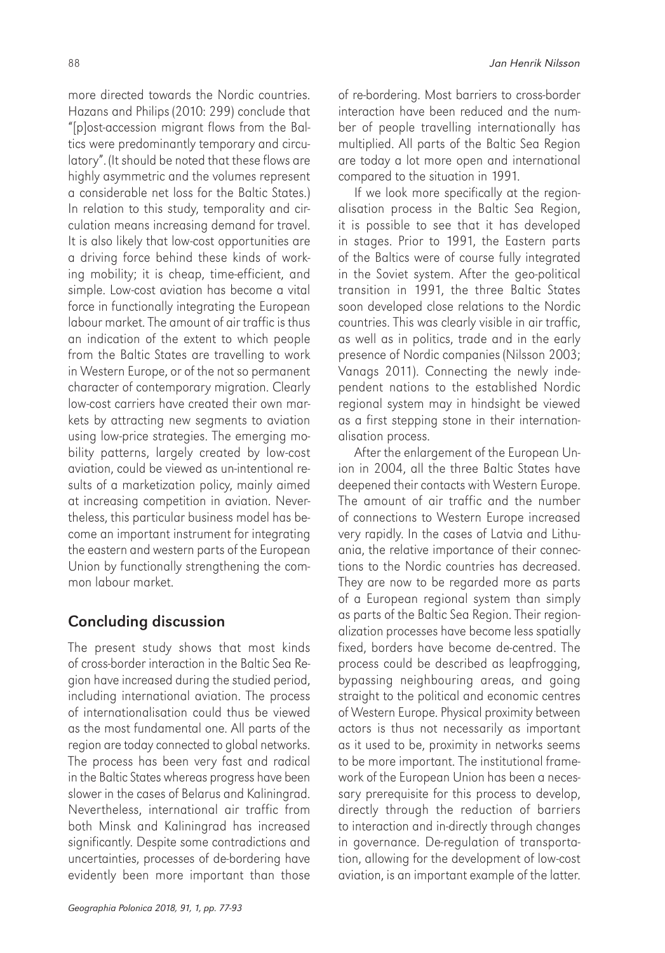more directed towards the Nordic countries. Hazans and Philips (2010: 299) conclude that "[p]ost-accession migrant flows from the Baltics were predominantly temporary and circulatory". (It should be noted that these flows are highly asymmetric and the volumes represent a considerable net loss for the Baltic States.) In relation to this study, temporality and circulation means increasing demand for travel. It is also likely that low-cost opportunities are a driving force behind these kinds of working mobility; it is cheap, time-efficient, and simple. Low-cost aviation has become a vital force in functionally integrating the European labour market. The amount of air traffic is thus an indication of the extent to which people from the Baltic States are travelling to work in Western Europe, or of the not so permanent character of contemporary migration. Clearly low-cost carriers have created their own markets by attracting new segments to aviation using low-price strategies. The emerging mobility patterns, largely created by low-cost aviation, could be viewed as un-intentional results of a marketization policy, mainly aimed at increasing competition in aviation. Nevertheless, this particular business model has become an important instrument for integrating the eastern and western parts of the European Union by functionally strengthening the common labour market.

# Concluding discussion

The present study shows that most kinds of cross-border interaction in the Baltic Sea Region have increased during the studied period, including international aviation. The process of internationalisation could thus be viewed as the most fundamental one. All parts of the region are today connected to global networks. The process has been very fast and radical in the Baltic States whereas progress have been slower in the cases of Belarus and Kaliningrad. Nevertheless, international air traffic from both Minsk and Kaliningrad has increased significantly. Despite some contradictions and uncertainties, processes of de-bordering have evidently been more important than those

of re-bordering. Most barriers to cross-border interaction have been reduced and the number of people travelling internationally has multiplied. All parts of the Baltic Sea Region are today a lot more open and international compared to the situation in 1991.

If we look more specifically at the regionalisation process in the Baltic Sea Region, it is possible to see that it has developed in stages. Prior to 1991, the Eastern parts of the Baltics were of course fully integrated in the Soviet system. After the geo-political transition in 1991, the three Baltic States soon developed close relations to the Nordic countries. This was clearly visible in air traffic, as well as in politics, trade and in the early presence of Nordic companies (Nilsson 2003; Vanags 2011). Connecting the newly independent nations to the established Nordic regional system may in hindsight be viewed as a first stepping stone in their internationalisation process.

After the enlargement of the European Union in 2004, all the three Baltic States have deepened their contacts with Western Europe. The amount of air traffic and the number of connections to Western Europe increased very rapidly. In the cases of Latvia and Lithuania, the relative importance of their connections to the Nordic countries has decreased. They are now to be regarded more as parts of a European regional system than simply as parts of the Baltic Sea Region. Their regionalization processes have become less spatially fixed, borders have become de-centred. The process could be described as leapfrogging, bypassing neighbouring areas, and going straight to the political and economic centres of Western Europe. Physical proximity between actors is thus not necessarily as important as it used to be, proximity in networks seems to be more important. The institutional framework of the European Union has been a necessary prerequisite for this process to develop, directly through the reduction of barriers to interaction and in-directly through changes in governance. De-regulation of transportation, allowing for the development of low-cost aviation, is an important example of the latter.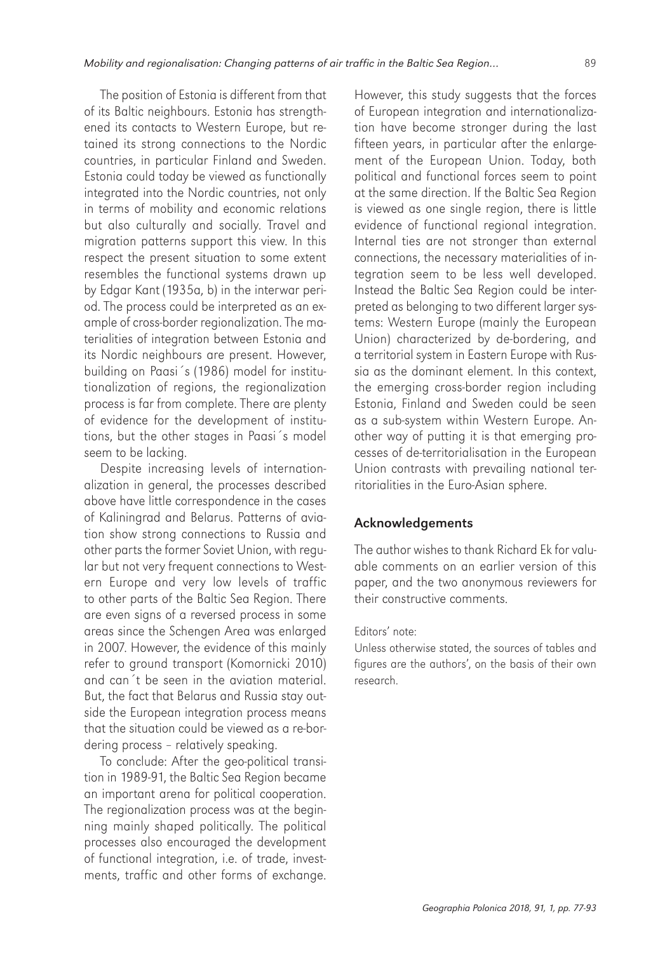The position of Estonia is different from that of its Baltic neighbours. Estonia has strengthened its contacts to Western Europe, but retained its strong connections to the Nordic countries, in particular Finland and Sweden. Estonia could today be viewed as functionally integrated into the Nordic countries, not only in terms of mobility and economic relations but also culturally and socially. Travel and migration patterns support this view. In this respect the present situation to some extent resembles the functional systems drawn up by Edgar Kant (1935a, b) in the interwar period. The process could be interpreted as an example of cross-border regionalization. The materialities of integration between Estonia and its Nordic neighbours are present. However, building on Paasi´s (1986) model for institutionalization of regions, the regionalization process is far from complete. There are plenty of evidence for the development of institutions, but the other stages in Paasi´s model seem to be lacking.

Despite increasing levels of internationalization in general, the processes described above have little correspondence in the cases of Kaliningrad and Belarus. Patterns of aviation show strong connections to Russia and other parts the former Soviet Union, with regular but not very frequent connections to Western Europe and very low levels of traffic to other parts of the Baltic Sea Region. There are even signs of a reversed process in some areas since the Schengen Area was enlarged in 2007. However, the evidence of this mainly refer to ground transport (Komornicki 2010) and can´t be seen in the aviation material. But, the fact that Belarus and Russia stay outside the European integration process means that the situation could be viewed as a re-bordering process – relatively speaking.

To conclude: After the geo-political transition in 1989-91, the Baltic Sea Region became an important arena for political cooperation. The regionalization process was at the beginning mainly shaped politically. The political processes also encouraged the development of functional integration, i.e. of trade, investments, traffic and other forms of exchange.

However, this study suggests that the forces of European integration and internationalization have become stronger during the last fifteen years, in particular after the enlargement of the European Union. Today, both political and functional forces seem to point at the same direction. If the Baltic Sea Region is viewed as one single region, there is little evidence of functional regional integration. Internal ties are not stronger than external connections, the necessary materialities of integration seem to be less well developed. Instead the Baltic Sea Region could be interpreted as belonging to two different larger systems: Western Europe (mainly the European Union) characterized by de-bordering, and a territorial system in Eastern Europe with Russia as the dominant element. In this context, the emerging cross-border region including Estonia, Finland and Sweden could be seen as a sub-system within Western Europe. Another way of putting it is that emerging processes of de-territorialisation in the European Union contrasts with prevailing national territorialities in the Euro-Asian sphere.

### Acknowledgements

The author wishes to thank Richard Ek for valuable comments on an earlier version of this paper, and the two anonymous reviewers for their constructive comments.

#### Editors' note:

Unless otherwise stated, the sources of tables and figures are the authors', on the basis of their own research.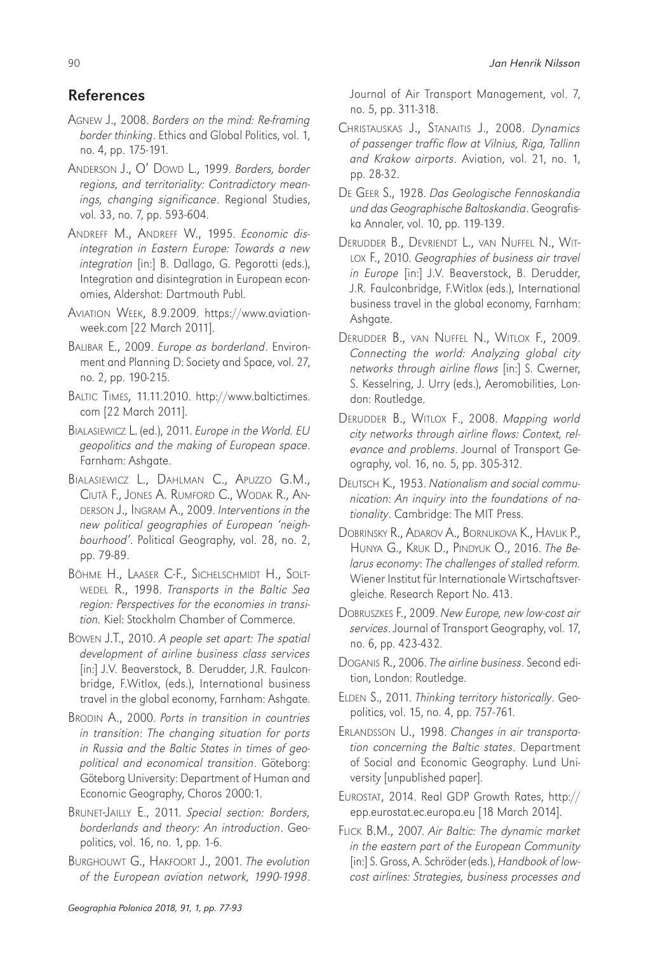# References

- AGNEW J., 2008. *Borders on the mind: Re-framing border thinking*. Ethics and Global Politics, vol. 1, no. 4, pp. 175-191.
- ANDERSON J., O' DOWD L., 1999. *Borders, border regions, and territoriality: Contradictory meanings, changing significance*. Regional Studies, vol. 33, no. 7, pp. 593-604.
- ANDREFF M., ANDREFF W., 1995. *Economic disintegration in Eastern Europe: Towards a new integration* [in:] B. Dallago, G. Pegorotti (eds.), Integration and disintegration in European economies, Aldershot: Dartmouth Publ.
- AVIATION WEEK, 8.9.2009. https://www.aviationweek.com [22 March 2011].
- BALIBAR E., 2009. *Europe as borderland*. Environment and Planning D: Society and Space, vol. 27, no. 2, pp. 190-215.
- BALTIC TIMES, 11.11.2010. http://www.baltictimes. com [22 March 2011].
- BIALASIEWICZ L. (ed.), 2011. *Europe in the World. EU geopolitics and the making of European space*. Farnham: Ashgate.
- BIALASIEWICZ L., DAHLMAN C., APUZZO G.M., CIUTĂ F., JONES A. RUMFORD C., WODAK R., AN-DERSON J., INGRAM A., 2009. *Interventions in the new political geographies of European 'neighbourhood'*. Political Geography, vol. 28, no. 2, pp. 79-89.
- BÖHME H., LAASER C-F., SICHELSCHMIDT H., SOLT-WEDEL R., 1998. *Transports in the Baltic Sea region: Perspectives for the economies in transition.* Kiel: Stockholm Chamber of Commerce.
- BOWEN J.T., 2010. *A people set apart: The spatial development of airline business class services* [in:] J.V. Beaverstock, B. Derudder, J.R. Faulconbridge, F.Witlox, (eds.), International business travel in the global economy, Farnham: Ashgate.
- BRODIN A., 2000. *Ports in transition in countries in transition*: *The changing situation for ports in Russia and the Baltic States in times of geopolitical and economical transition*. Göteborg: Göteborg University: Department of Human and Economic Geography, Choros 2000:1.
- BRUNET-JAILLY E., 2011. *Special section: Borders, borderlands and theory: An introduction*. Geopolitics, vol. 16, no. 1, pp. 1-6.
- BURGHOUWT G., HAKFOORT J., 2001. *The evolution of the European aviation network, 1990-1998*.

Journal of Air Transport Management, vol. 7, no. 5, pp. 311-318.

- CHRISTAUSKAS J., STANAITIS J., 2008. *Dynamics of passenger traffic flow at Vilnius, Riga, Tallinn and Krakow airports*. Aviation, vol. 21, no. 1, pp. 28-32.
- DE GEER S., 1928. *Das Geologische Fennoskandia und das Geographische Baltoskandia*. Geografiska Annaler, vol. 10, pp. 119-139.
- DERUDDER B., DEVRIENDT L., VAN NUFFEL N., WIT-LOX F., 2010. *Geographies of business air travel in Europe* [in:] J.V. Beaverstock, B. Derudder, J.R. Faulconbridge, F.Witlox (eds.), International business travel in the global economy, Farnham: Ashgate.
- DERUDDER B., VAN NUFFEL N., WITLOX F., 2009. *Connecting the world: Analyzing global city networks through airline flows* [in:] S. Cwerner, S. Kesselring, J. Urry (eds.), Aeromobilities, London: Routledge.
- DERUDDER B., WITLOX F., 2008. *Mapping world city networks through airline flows: Context, relevance and problems*. Journal of Transport Geography, vol. 16, no. 5, pp. 305-312.
- DEUTSCH K., 1953. *Nationalism and social communication*: *An inquiry into the foundations of nationality*. Cambridge: The MIT Press.
- DOBRINSKY R., ADAROV A., BORNUKOVA K., HAVLIK P., HUNYA G., KRUK D., PINDYUK O., 2016. *The Belarus economy*: *The challenges of stalled reform.* Wiener Institut für Internationale Wirtschaftsvergleiche. Research Report No. 413.
- DOBRUSZKES F., 2009. *New Europe, new low-cost air services*. Journal of Transport Geography, vol. 17, no. 6, pp. 423-432.
- DOGANIS R., 2006. *The airline business*. Second edition, London: Routledge.
- ELDEN S., 2011. *Thinking territory historically*. Geopolitics, vol. 15, no. 4, pp. 757-761.
- ERLANDSSON U., 1998. *Changes in air transportation concerning the Baltic states*. Department of Social and Economic Geography. Lund University [unpublished paper].
- EUROSTAT, 2014. Real GDP Growth Rates, http:// epp.eurostat.ec.europa.eu [18 March 2014].
- FLICK B.M., 2007. *Air Baltic: The dynamic market in the eastern part of the European Community* [in:] S. Gross, A. Schröder (eds.), *Handbook of lowcost airlines: Strategies, business processes and*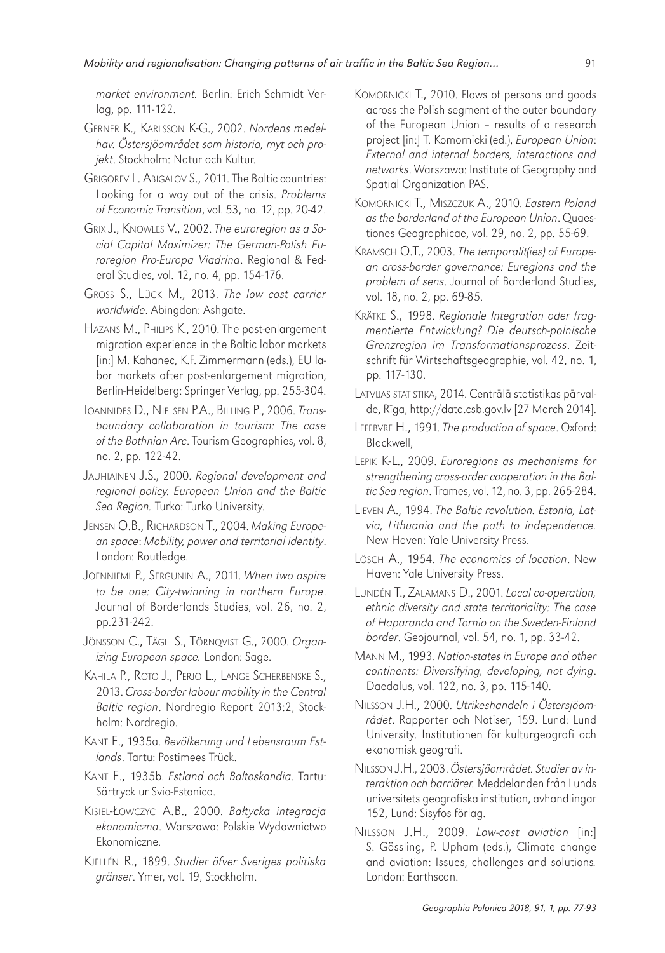*market environment.* Berlin: Erich Schmidt Verlag, pp. 111-122.

- GERNER K., KARLSSON K-G., 2002. *Nordens medelhav. Östersjöområdet som historia, myt och projekt*. Stockholm: Natur och Kultur.
- GRIGOREV L. ABIGALOV S., 2011. The Baltic countries: Looking for a way out of the crisis. *Problems of Economic Transition*, vol. 53, no. 12, pp. 20-42.
- GRIX J., KNOWLES V., 2002. *The euroregion as a Social Capital Maximizer: The German-Polish Euroregion Pro-Europa Viadrina*. Regional & Federal Studies, vol. 12, no. 4, pp. 154-176.
- GROSS S., LÜCK M., 2013. *The low cost carrier worldwide*. Abingdon: Ashgate.
- HAZANS M., PHILIPS K., 2010. The post-enlargement migration experience in the Baltic labor markets [in:] M. Kahanec, K.F. Zimmermann (eds.), EU labor markets after post-enlargement migration, Berlin-Heidelberg: Springer Verlag, pp. 255-304.
- IOANNIDES D., NIELSEN P.A., BILLING P., 2006. *Transboundary collaboration in tourism: The case of the Bothnian Arc*. Tourism Geographies, vol. 8, no. 2, pp. 122-42.
- JAUHIAINEN J.S., 2000. *Regional development and regional policy. European Union and the Baltic Sea Region.* Turko: Turko University.
- JENSEN O.B., RICHARDSON T., 2004. *Making European space*: *Mobility, power and territorial identity*. London: Routledge.
- JOENNIEMI P., SERGUNIN A., 2011. *When two aspire to be one: City-twinning in northern Europe*. Journal of Borderlands Studies, vol. 26, no. 2, pp.231-242.
- JÖNSSON C., TÄGIL S., TÖRNQVIST G., 2000. *Organizing European space.* London: Sage.
- KAHILA P., ROTO J., PERJO L., LANGE SCHERBENSKE S., 2013. *Cross-border labour mobility in the Central Baltic region*. Nordregio Report 2013:2, Stockholm: Nordregio.
- KANT E., 1935a. *Bevölkerung und Lebensraum Estlands*. Tartu: Postimees Trück.
- KANT E., 1935b. *Estland och Baltoskandia*. Tartu: Särtryck ur Svio-Estonica.
- KISIEL-ŁOWCZYC A.B., 2000. *Ba*ł*tycka integracja ekonomiczna*. Warszawa: Polskie Wydawnictwo Ekonomiczne.
- KJELLÉN R., 1899. *Studier öfver Sveriges politiska gränser*. Ymer, vol. 19, Stockholm.
- KOMORNICKI T., 2010. Flows of persons and goods across the Polish segment of the outer boundary of the European Union – results of a research project [in:] T. Komornicki (ed.), *European Union*: *External and internal borders, interactions and networks*. Warszawa: Institute of Geography and Spatial Organization PAS.
- KOMORNICKI T., MISZCZUK A., 2010. *Eastern Poland as the borderland of the European Union*. Quaestiones Geographicae, vol. 29, no. 2, pp. 55-69.
- KRAMSCH O.T., 2003. *The temporalit(ies) of European cross-border governance: Euregions and the problem of sens*. Journal of Borderland Studies, vol. 18, no. 2, pp. 69-85.
- KRÄTKE S., 1998. *Regionale Integration oder fragmentierte Entwicklung? Die deutsch-polnische Grenzregion im Transformationsprozess*. Zeitschrift für Wirtschaftsgeographie, vol. 42, no. 1, pp. 117-130.
- LATVIJAS STATISTIKA, 2014. Centrālā statistikas pārvalde, Rīga, http://data.csb.gov.lv [27 March 2014].
- LEFEBVRE H., 1991. *The production of space*. Oxford: Blackwell,
- LEPIK K-L., 2009. *Euroregions as mechanisms for strengthening cross-order cooperation in the Baltic Sea region*. Trames, vol. 12, no. 3, pp. 265-284.
- LIEVEN A., 1994. *The Baltic revolution. Estonia, Latvia, Lithuania and the path to independence.*  New Haven: Yale University Press.
- LÖSCH A., 1954. *The economics of location*. New Haven: Yale University Press.
- LUNDÉN T., ZALAMANS D., 2001. *Local co-operation, ethnic diversity and state territoriality: The case of Haparanda and Tornio on the Sweden-Finland border*. Geojournal, vol. 54, no. 1, pp. 33-42.
- MANN M., 1993. *Nation-states in Europe and other continents: Diversifying, developing, not dying*. Daedalus, vol. 122, no. 3, pp. 115-140.
- NILSSON J.H., 2000. *Utrikeshandeln i Östersjöområdet*. Rapporter och Notiser, 159. Lund: Lund University. Institutionen för kulturgeografi och ekonomisk geografi.
- NILSSON J.H., 2003. *Östersjöområdet. Studier av interaktion och barriärer.* Meddelanden från Lunds universitets geografiska institution, avhandlingar 152, Lund: Sisyfos förlag.
- NILSSON J.H., 2009. *Low-cost aviation* [in:] S. Gössling, P. Upham (eds.), Climate change and aviation: Issues, challenges and solutions*.* London: Earthscan.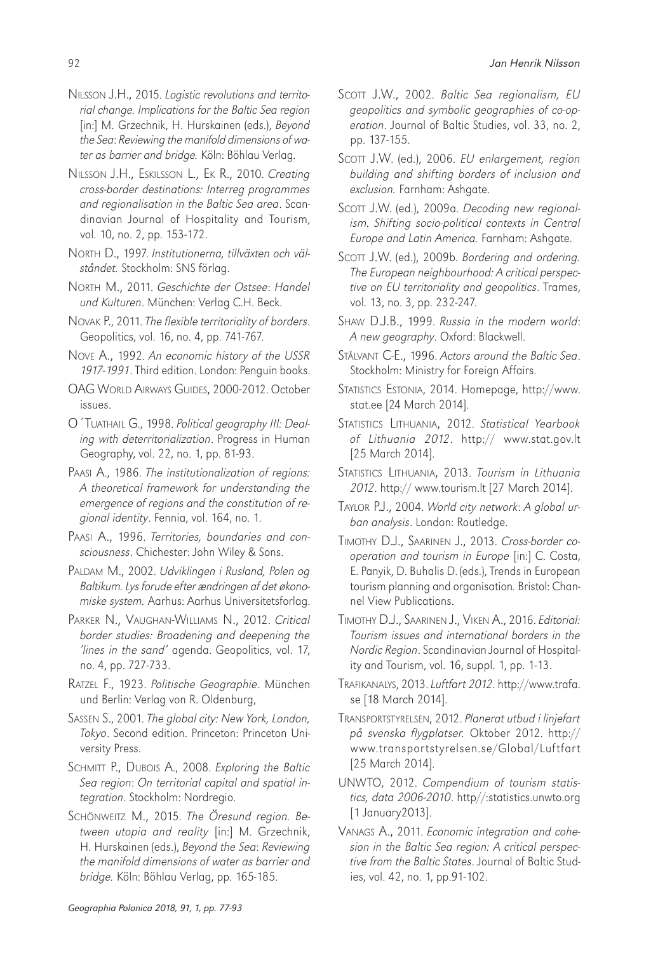- NILSSON J.H., 2015. *Logistic revolutions and territorial change. Implications for the Baltic Sea region* [in:] M. Grzechnik, H. Hurskainen (eds.), *Beyond the Sea*: *Reviewing the manifold dimensions of water as barrier and bridge.* Köln: Böhlau Verlag.
- NILSSON J.H., ESKILSSON L., EK R., 2010. *Creating cross-border destinations: Interreg programmes and regionalisation in the Baltic Sea area*. Scandinavian Journal of Hospitality and Tourism, vol. 10, no. 2, pp. 153-172.
- NORTH D., 1997. *Institutionerna, tillväxten och välståndet.* Stockholm: SNS förlag.
- NORTH M., 2011. *Geschichte der Ostsee*: *Handel und Kulturen*. München: Verlag C.H. Beck.
- NOVAK P., 2011. *The flexible territoriality of borders*. Geopolitics, vol. 16, no. 4, pp. 741-767.
- NOVE A., 1992. *An economic history of the USSR 1917-1991*. Third edition. London: Penguin books.
- OAG WORLD AIRWAYS GUIDES, 2000-2012. October issues.
- O´TUATHAIL G., 1998. *Political geography III: Dealing with deterritorialization*. Progress in Human Geography, vol. 22, no. 1, pp. 81-93.
- PAASI A., 1986. *The institutionalization of regions: A theoretical framework for understanding the emergence of regions and the constitution of regional identity*. Fennia, vol. 164, no. 1.
- PAASI A., 1996. *Territories, boundaries and consciousness*. Chichester: John Wiley & Sons.
- PALDAM M., 2002. *Udviklingen i Rusland, Polen og Baltikum. Lys forude efter ændringen af det økonomiske system.* Aarhus: Aarhus Universitetsforlag.
- PARKER N., VAUGHAN-WILLIAMS N., 2012. *Critical border studies: Broadening and deepening the 'lines in the sand'* agenda. Geopolitics, vol. 17, no. 4, pp. 727-733.
- RATZEL F., 1923. *Politische Geographie*. München und Berlin: Verlag von R. Oldenburg,
- SASSEN S., 2001. *The global city: New York, London, Tokyo*. Second edition. Princeton: Princeton University Press.
- SCHMITT P., DUBOIS A., 2008. *Exploring the Baltic Sea region*: *On territorial capital and spatial integration*. Stockholm: Nordregio.
- SCHÖNWEITZ M., 2015. *The Öresund region. Between utopia and reality* [in:] M. Grzechnik, H. Hurskainen (eds.), *Beyond the Sea*: *Reviewing the manifold dimensions of water as barrier and bridge.* Köln: Böhlau Verlag, pp. 165-185.
- SCOTT J.W., 2002. *Baltic Sea regionalism, EU geopolitics and symbolic geographies of co-operation*. Journal of Baltic Studies, vol. 33, no. 2, pp. 137-155.
- SCOTT J.W. (ed.), 2006. *EU enlargement, region building and shifting borders of inclusion and exclusion.* Farnham: Ashgate.
- SCOTT J.W. (ed.), 2009a. *Decoding new regionalism. Shifting socio-political contexts in Central Europe and Latin America.* Farnham: Ashgate.
- SCOTT J.W. (ed.), 2009b. *Bordering and ordering. The European neighbourhood: A critical perspective on EU territoriality and geopolitics*. Trames, vol. 13, no. 3, pp. 232-247.
- SHAW D.J.B., 1999. *Russia in the modern world*: *A new geography*. Oxford: Blackwell.
- STÅLVANT C-E., 1996. *Actors around the Baltic Sea*. Stockholm: Ministry for Foreign Affairs.
- STATISTICS ESTONIA, 2014. Homepage, http://www. stat.ee [24 March 2014].
- STATISTICS LITHUANIA, 2012. *Statistical Yearbook of Lithuania 2012*. http:// www.stat.gov.lt [25 March 2014].
- STATISTICS LITHUANIA, 2013. *Tourism in Lithuania 2012*. http:// www.tourism.lt [27 March 2014].
- TAYLOR P.J., 2004. *World city network*: *A global urban analysis*. London: Routledge.
- TIMOTHY D.J., SAARINEN J., 2013. *Cross-border cooperation and tourism in Europe* [in:] C. Costa, E. Panyik, D. Buhalis D. (eds.), Trends in European tourism planning and organisation*.* Bristol: Channel View Publications.
- TIMOTHY D.J., SAARINEN J., VIKEN A., 2016. *Editorial: Tourism issues and international borders in the Nordic Region*. Scandinavian Journal of Hospitality and Tourism, vol. 16, suppl. 1, pp. 1-13.
- TRAFIKANALYS, 2013. *Luftfart 2012*. http://www.trafa. se [18 March 2014].
- TRANSPORTSTYRELSEN, 2012. *Planerat utbud i linjefart på svenska flygplatser.* Oktober 2012. http:// www.transportstyrelsen.se/Global/Luftfart [25 March 2014].
- UNWTO, 2012. *Compendium of tourism statistics, data 2006-2010*. http//:statistics.unwto.org [1 January2013].
- VANAGS A., 2011. *Economic integration and cohesion in the Baltic Sea region: A critical perspective from the Baltic States*. Journal of Baltic Studies, vol. 42, no. 1, pp.91-102.